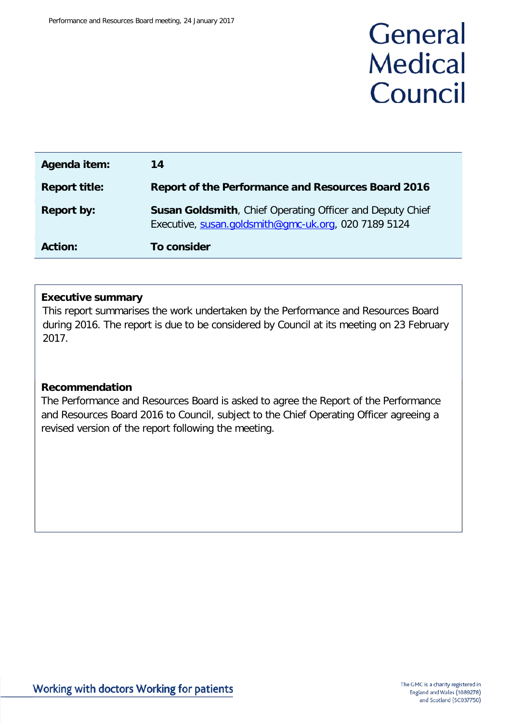# General **Medical** Council

| Agenda item:         | 14                                                                                                                       |
|----------------------|--------------------------------------------------------------------------------------------------------------------------|
| <b>Report title:</b> | <b>Report of the Performance and Resources Board 2016</b>                                                                |
| <b>Report by:</b>    | <b>Susan Goldsmith, Chief Operating Officer and Deputy Chief</b><br>Executive, susan.goldsmith@gmc-uk.org, 020 7189 5124 |
| <b>Action:</b>       | To consider                                                                                                              |

#### **Executive summary**

This report summarises the work undertaken by the Performance and Resources Board during 2016. The report is due to be considered by Council at its meeting on 23 February 2017.

#### **Recommendation**

The Performance and Resources Board is asked to agree the Report of the Performance and Resources Board 2016 to Council, subject to the Chief Operating Officer agreeing a revised version of the report following the meeting.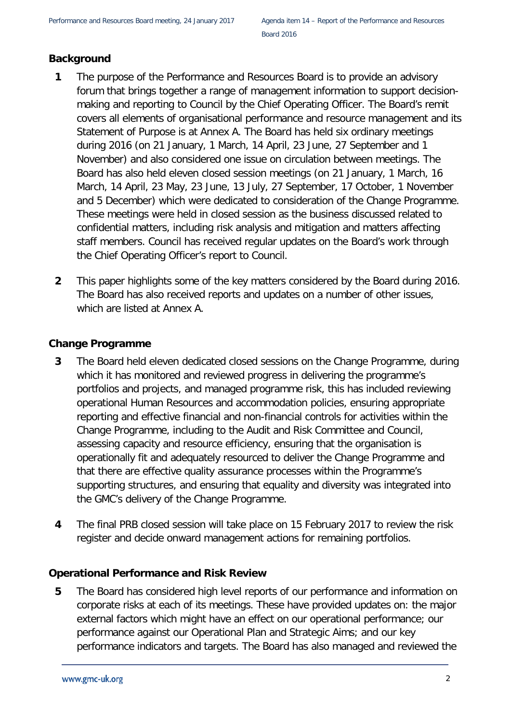# **Background**

- **1** The purpose of the Performance and Resources Board is to provide an advisory forum that brings together a range of management information to support decisionmaking and reporting to Council by the Chief Operating Officer. The Board's remit covers all elements of organisational performance and resource management and its Statement of Purpose is at Annex A. The Board has held six ordinary meetings during 2016 (on 21 January, 1 March, 14 April, 23 June, 27 September and 1 November) and also considered one issue on circulation between meetings. The Board has also held eleven closed session meetings (on 21 January, 1 March, 16 March, 14 April, 23 May, 23 June, 13 July, 27 September, 17 October, 1 November and 5 December) which were dedicated to consideration of the Change Programme. These meetings were held in closed session as the business discussed related to confidential matters, including risk analysis and mitigation and matters affecting staff members. Council has received regular updates on the Board's work through the Chief Operating Officer's report to Council.
- **2** This paper highlights some of the key matters considered by the Board during 2016. The Board has also received reports and updates on a number of other issues, which are listed at Annex A.

# **Change Programme**

- **3** The Board held eleven dedicated closed sessions on the Change Programme, during which it has monitored and reviewed progress in delivering the programme's portfolios and projects, and managed programme risk, this has included reviewing operational Human Resources and accommodation policies, ensuring appropriate reporting and effective financial and non-financial controls for activities within the Change Programme, including to the Audit and Risk Committee and Council, assessing capacity and resource efficiency, ensuring that the organisation is operationally fit and adequately resourced to deliver the Change Programme and that there are effective quality assurance processes within the Programme's supporting structures, and ensuring that equality and diversity was integrated into the GMC's delivery of the Change Programme.
- **4** The final PRB closed session will take place on 15 February 2017 to review the risk register and decide onward management actions for remaining portfolios.

# **Operational Performance and Risk Review**

**5** The Board has considered high level reports of our performance and information on corporate risks at each of its meetings. These have provided updates on: the major external factors which might have an effect on our operational performance; our performance against our Operational Plan and Strategic Aims; and our key performance indicators and targets. The Board has also managed and reviewed the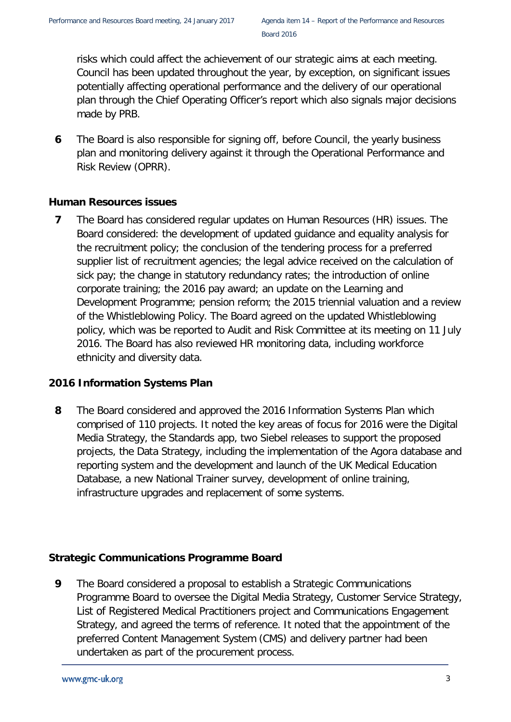risks which could affect the achievement of our strategic aims at each meeting. Council has been updated throughout the year, by exception, on significant issues potentially affecting operational performance and the delivery of our operational plan through the Chief Operating Officer's report which also signals major decisions made by PRB.

**6** The Board is also responsible for signing off, before Council, the yearly business plan and monitoring delivery against it through the Operational Performance and Risk Review (OPRR).

# **Human Resources issues**

**7** The Board has considered regular updates on Human Resources (HR) issues. The Board considered: the development of updated guidance and equality analysis for the recruitment policy; the conclusion of the tendering process for a preferred supplier list of recruitment agencies; the legal advice received on the calculation of sick pay; the change in statutory redundancy rates; the introduction of online corporate training; the 2016 pay award; an update on the Learning and Development Programme; pension reform; the 2015 triennial valuation and a review of the Whistleblowing Policy. The Board agreed on the updated Whistleblowing policy, which was be reported to Audit and Risk Committee at its meeting on 11 July 2016. The Board has also reviewed HR monitoring data, including workforce ethnicity and diversity data.

# **2016 Information Systems Plan**

**8** The Board considered and approved the 2016 Information Systems Plan which comprised of 110 projects. It noted the key areas of focus for 2016 were the Digital Media Strategy, the Standards app, two Siebel releases to support the proposed projects, the Data Strategy, including the implementation of the Agora database and reporting system and the development and launch of the UK Medical Education Database, a new National Trainer survey, development of online training, infrastructure upgrades and replacement of some systems.

# **Strategic Communications Programme Board**

**9** The Board considered a proposal to establish a Strategic Communications Programme Board to oversee the Digital Media Strategy, Customer Service Strategy, List of Registered Medical Practitioners project and Communications Engagement Strategy, and agreed the terms of reference. It noted that the appointment of the preferred Content Management System (CMS) and delivery partner had been undertaken as part of the procurement process.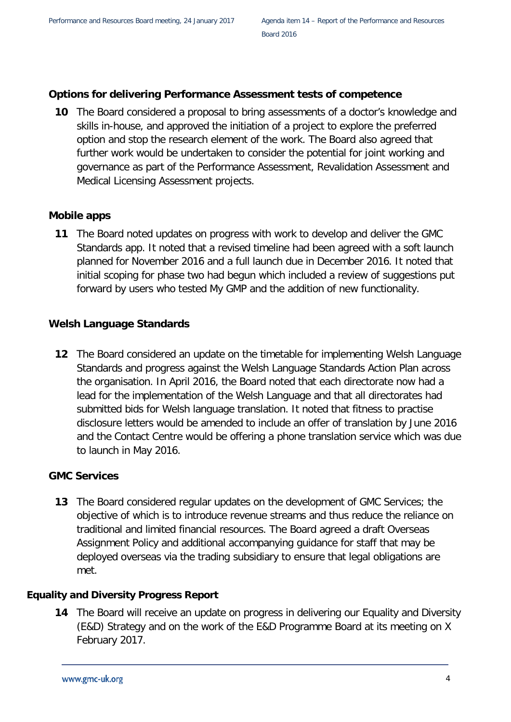# **Options for delivering Performance Assessment tests of competence**

**10** The Board considered a proposal to bring assessments of a doctor's knowledge and skills in-house, and approved the initiation of a project to explore the preferred option and stop the research element of the work. The Board also agreed that further work would be undertaken to consider the potential for joint working and governance as part of the Performance Assessment, Revalidation Assessment and Medical Licensing Assessment projects.

# **Mobile apps**

**11** The Board noted updates on progress with work to develop and deliver the GMC Standards app. It noted that a revised timeline had been agreed with a soft launch planned for November 2016 and a full launch due in December 2016. It noted that initial scoping for phase two had begun which included a review of suggestions put forward by users who tested My GMP and the addition of new functionality.

# **Welsh Language Standards**

**12** The Board considered an update on the timetable for implementing Welsh Language Standards and progress against the Welsh Language Standards Action Plan across the organisation. In April 2016, the Board noted that each directorate now had a lead for the implementation of the Welsh Language and that all directorates had submitted bids for Welsh language translation. It noted that fitness to practise disclosure letters would be amended to include an offer of translation by June 2016 and the Contact Centre would be offering a phone translation service which was due to launch in May 2016.

# **GMC Services**

**13** The Board considered regular updates on the development of GMC Services; the objective of which is to introduce revenue streams and thus reduce the reliance on traditional and limited financial resources. The Board agreed a draft Overseas Assignment Policy and additional accompanying guidance for staff that may be deployed overseas via the trading subsidiary to ensure that legal obligations are met.

# **Equality and Diversity Progress Report**

**14** The Board will receive an update on progress in delivering our Equality and Diversity (E&D) Strategy and on the work of the E&D Programme Board at its meeting on X February 2017.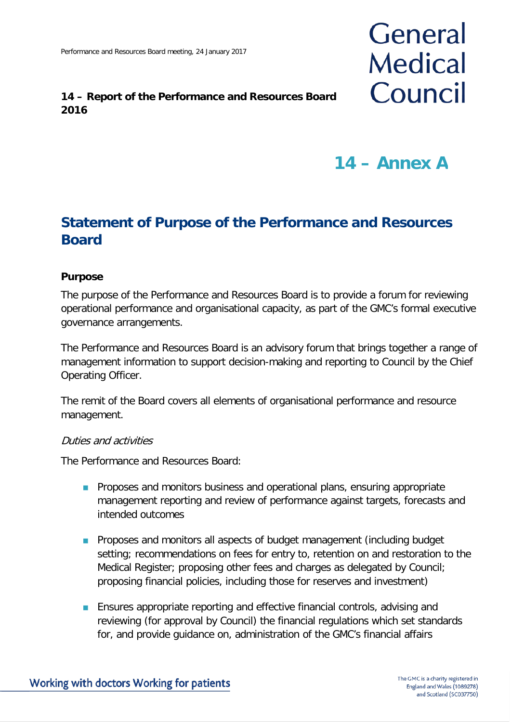# **14 – Report of the Performance and Resources Board 2016**

# **14 – Annex A**

General

**Medical** 

Council

# **Statement of Purpose of the Performance and Resources Board**

# **Purpose**

The purpose of the Performance and Resources Board is to provide a forum for reviewing operational performance and organisational capacity, as part of the GMC's formal executive governance arrangements.

The Performance and Resources Board is an advisory forum that brings together a range of management information to support decision-making and reporting to Council by the Chief Operating Officer.

The remit of the Board covers all elements of organisational performance and resource management.

#### Duties and activities

The Performance and Resources Board:

- **Proposes and monitors business and operational plans, ensuring appropriate** management reporting and review of performance against targets, forecasts and intended outcomes
- **Proposes and monitors all aspects of budget management (including budget)** setting; recommendations on fees for entry to, retention on and restoration to the Medical Register; proposing other fees and charges as delegated by Council; proposing financial policies, including those for reserves and investment)
- **Ensures appropriate reporting and effective financial controls, advising and** reviewing (for approval by Council) the financial regulations which set standards for, and provide guidance on, administration of the GMC's financial affairs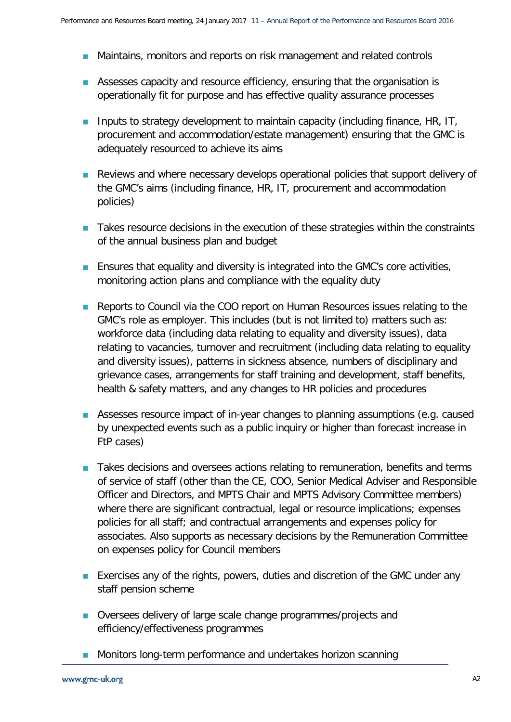- **Maintains, monitors and reports on risk management and related controls**
- **Assesses capacity and resource efficiency, ensuring that the organisation is** operationally fit for purpose and has effective quality assurance processes
- **Inputs to strategy development to maintain capacity (including finance, HR, IT,** procurement and accommodation/estate management) ensuring that the GMC is adequately resourced to achieve its aims
- **Reviews and where necessary develops operational policies that support delivery of** the GMC's aims (including finance, HR, IT, procurement and accommodation policies)
- **The Takes resource decisions in the execution of these strategies within the constraints** of the annual business plan and budget
- **Ensures that equality and diversity is integrated into the GMC's core activities,** monitoring action plans and compliance with the equality duty
- Reports to Council via the COO report on Human Resources issues relating to the GMC's role as employer. This includes (but is not limited to) matters such as: workforce data (including data relating to equality and diversity issues), data relating to vacancies, turnover and recruitment (including data relating to equality and diversity issues), patterns in sickness absence, numbers of disciplinary and grievance cases, arrangements for staff training and development, staff benefits, health & safety matters, and any changes to HR policies and procedures
- **Assesses resource impact of in-year changes to planning assumptions (e.g. caused** by unexpected events such as a public inquiry or higher than forecast increase in FtP cases)
- Takes decisions and oversees actions relating to remuneration, benefits and terms of service of staff (other than the CE, COO, Senior Medical Adviser and Responsible Officer and Directors, and MPTS Chair and MPTS Advisory Committee members) where there are significant contractual, legal or resource implications; expenses policies for all staff; and contractual arrangements and expenses policy for associates. Also supports as necessary decisions by the Remuneration Committee on expenses policy for Council members
- **Exercises any of the rights, powers, duties and discretion of the GMC under any** staff pension scheme
- Oversees delivery of large scale change programmes/projects and efficiency/effectiveness programmes
- **Monitors long-term performance and undertakes horizon scanning**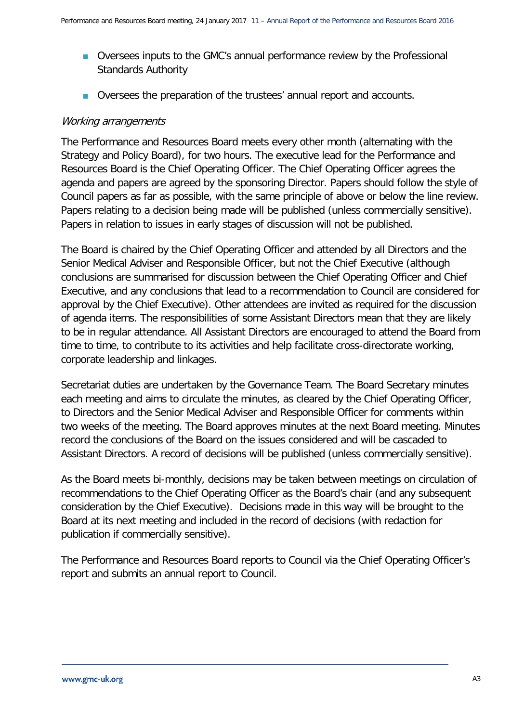- Oversees inputs to the GMC's annual performance review by the Professional Standards Authority
- Oversees the preparation of the trustees' annual report and accounts.

# Working arrangements

The Performance and Resources Board meets every other month (alternating with the Strategy and Policy Board), for two hours. The executive lead for the Performance and Resources Board is the Chief Operating Officer. The Chief Operating Officer agrees the agenda and papers are agreed by the sponsoring Director. Papers should follow the style of Council papers as far as possible, with the same principle of above or below the line review. Papers relating to a decision being made will be published (unless commercially sensitive). Papers in relation to issues in early stages of discussion will not be published.

The Board is chaired by the Chief Operating Officer and attended by all Directors and the Senior Medical Adviser and Responsible Officer, but not the Chief Executive (although conclusions are summarised for discussion between the Chief Operating Officer and Chief Executive, and any conclusions that lead to a recommendation to Council are considered for approval by the Chief Executive). Other attendees are invited as required for the discussion of agenda items. The responsibilities of some Assistant Directors mean that they are likely to be in regular attendance. All Assistant Directors are encouraged to attend the Board from time to time, to contribute to its activities and help facilitate cross-directorate working, corporate leadership and linkages.

Secretariat duties are undertaken by the Governance Team. The Board Secretary minutes each meeting and aims to circulate the minutes, as cleared by the Chief Operating Officer, to Directors and the Senior Medical Adviser and Responsible Officer for comments within two weeks of the meeting. The Board approves minutes at the next Board meeting. Minutes record the conclusions of the Board on the issues considered and will be cascaded to Assistant Directors. A record of decisions will be published (unless commercially sensitive).

As the Board meets bi-monthly, decisions may be taken between meetings on circulation of recommendations to the Chief Operating Officer as the Board's chair (and any subsequent consideration by the Chief Executive). Decisions made in this way will be brought to the Board at its next meeting and included in the record of decisions (with redaction for publication if commercially sensitive).

The Performance and Resources Board reports to Council via the Chief Operating Officer's report and submits an annual report to Council.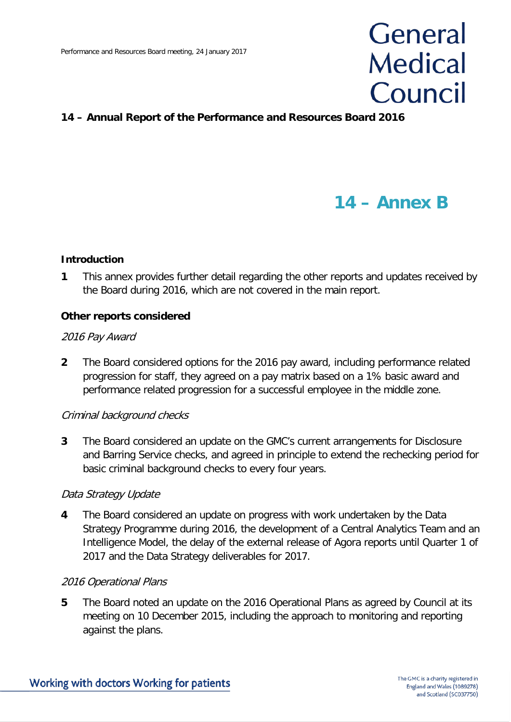# **General Medical** Council

# **14 – Annual Report of the Performance and Resources Board 2016**

# **14 – Annex B**

#### **Introduction**

**1** This annex provides further detail regarding the other reports and updates received by the Board during 2016, which are not covered in the main report.

#### **Other reports considered**

#### 2016 Pay Award

**2** The Board considered options for the 2016 pay award, including performance related progression for staff, they agreed on a pay matrix based on a 1% basic award and performance related progression for a successful employee in the middle zone.

#### Criminal background checks

**3** The Board considered an update on the GMC's current arrangements for Disclosure and Barring Service checks, and agreed in principle to extend the rechecking period for basic criminal background checks to every four years.

#### Data Strategy Update

**4** The Board considered an update on progress with work undertaken by the Data Strategy Programme during 2016, the development of a Central Analytics Team and an Intelligence Model, the delay of the external release of Agora reports until Quarter 1 of 2017 and the Data Strategy deliverables for 2017.

#### 2016 Operational Plans

**5** The Board noted an update on the 2016 Operational Plans as agreed by Council at its meeting on 10 December 2015, including the approach to monitoring and reporting against the plans.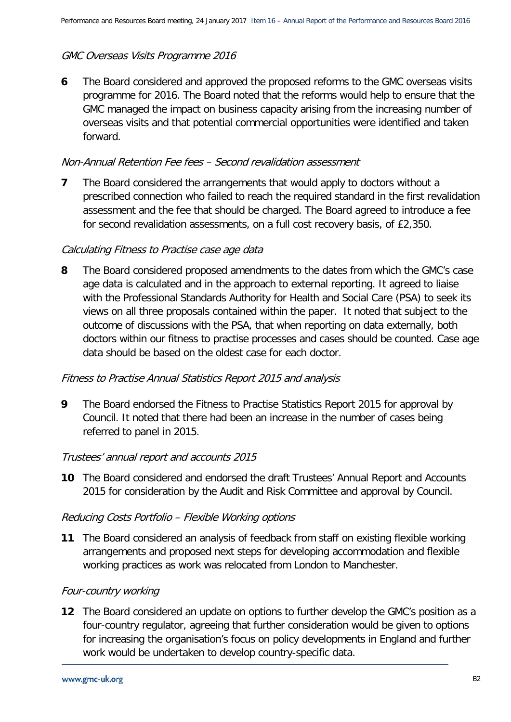# GMC Overseas Visits Programme 2016

**6** The Board considered and approved the proposed reforms to the GMC overseas visits programme for 2016. The Board noted that the reforms would help to ensure that the GMC managed the impact on business capacity arising from the increasing number of overseas visits and that potential commercial opportunities were identified and taken forward.

# Non-Annual Retention Fee fees – Second revalidation assessment

**7** The Board considered the arrangements that would apply to doctors without a prescribed connection who failed to reach the required standard in the first revalidation assessment and the fee that should be charged. The Board agreed to introduce a fee for second revalidation assessments, on a full cost recovery basis, of £2,350.

# Calculating Fitness to Practise case age data

**8** The Board considered proposed amendments to the dates from which the GMC's case age data is calculated and in the approach to external reporting. It agreed to liaise with the Professional Standards Authority for Health and Social Care (PSA) to seek its views on all three proposals contained within the paper. It noted that subject to the outcome of discussions with the PSA, that when reporting on data externally, both doctors within our fitness to practise processes and cases should be counted. Case age data should be based on the oldest case for each doctor.

# Fitness to Practise Annual Statistics Report 2015 and analysis

**9** The Board endorsed the Fitness to Practise Statistics Report 2015 for approval by Council. It noted that there had been an increase in the number of cases being referred to panel in 2015.

#### Trustees' annual report and accounts 2015

**10** The Board considered and endorsed the draft Trustees' Annual Report and Accounts 2015 for consideration by the Audit and Risk Committee and approval by Council.

#### Reducing Costs Portfolio – Flexible Working options

**11** The Board considered an analysis of feedback from staff on existing flexible working arrangements and proposed next steps for developing accommodation and flexible working practices as work was relocated from London to Manchester.

# Four-country working

**12** The Board considered an update on options to further develop the GMC's position as a four-country regulator, agreeing that further consideration would be given to options for increasing the organisation's focus on policy developments in England and further work would be undertaken to develop country-specific data.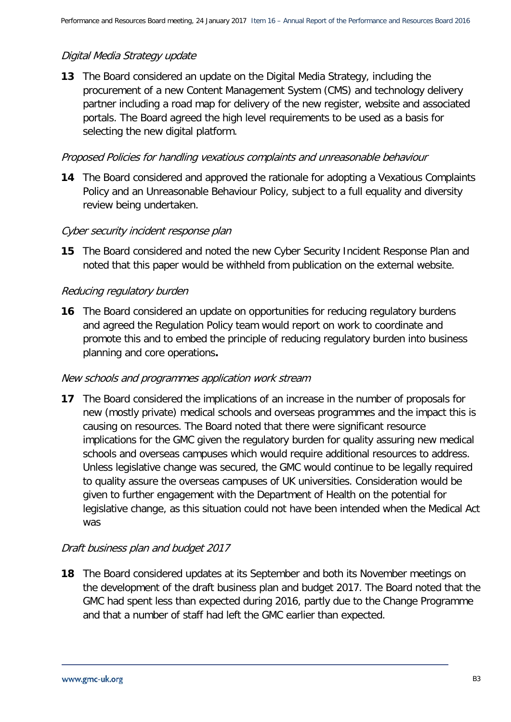# Digital Media Strategy update

**13** The Board considered an update on the Digital Media Strategy, including the procurement of a new Content Management System (CMS) and technology delivery partner including a road map for delivery of the new register, website and associated portals. The Board agreed the high level requirements to be used as a basis for selecting the new digital platform.

# Proposed Policies for handling vexatious complaints and unreasonable behaviour

**14** The Board considered and approved the rationale for adopting a Vexatious Complaints Policy and an Unreasonable Behaviour Policy, subject to a full equality and diversity review being undertaken.

# Cyber security incident response plan

**15** The Board considered and noted the new Cyber Security Incident Response Plan and noted that this paper would be withheld from publication on the external website.

# Reducing regulatory burden

**16** The Board considered an update on opportunities for reducing regulatory burdens and agreed the Regulation Policy team would report on work to coordinate and promote this and to embed the principle of reducing regulatory burden into business planning and core operations**.** 

#### New schools and programmes application work stream

**17** The Board considered the implications of an increase in the number of proposals for new (mostly private) medical schools and overseas programmes and the impact this is causing on resources. The Board noted that there were significant resource implications for the GMC given the regulatory burden for quality assuring new medical schools and overseas campuses which would require additional resources to address. Unless legislative change was secured, the GMC would continue to be legally required to quality assure the overseas campuses of UK universities. Consideration would be given to further engagement with the Department of Health on the potential for legislative change, as this situation could not have been intended when the Medical Act was

# Draft business plan and budget 2017

**18** The Board considered updates at its September and both its November meetings on the development of the draft business plan and budget 2017. The Board noted that the GMC had spent less than expected during 2016, partly due to the Change Programme and that a number of staff had left the GMC earlier than expected.